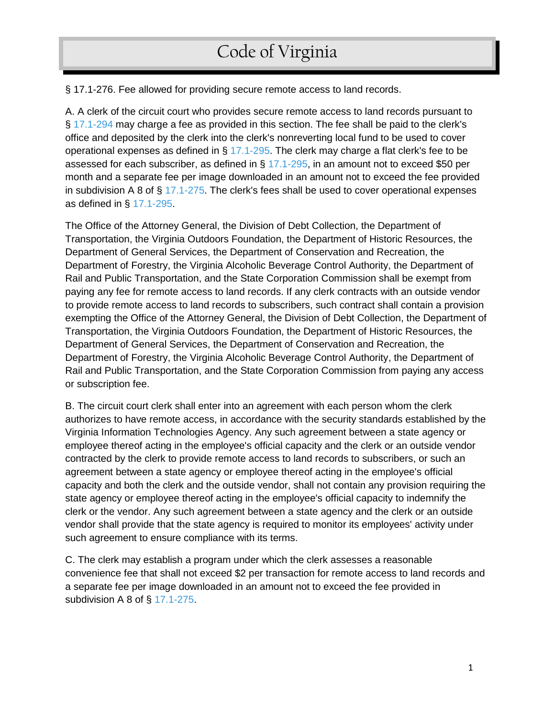§ 17.1-276. Fee allowed for providing secure remote access to land records.

A. A clerk of the circuit court who provides secure remote access to land records pursuant to § [17.1-294](https://law.lis.virginia.gov/vacode/17.1-294/) may charge a fee as provided in this section. The fee shall be paid to the clerk's office and deposited by the clerk into the clerk's nonreverting local fund to be used to cover operational expenses as defined in  $\S$  [17.1-295.](https://law.lis.virginia.gov/vacode/17.1-295/) The clerk may charge a flat clerk's fee to be assessed for each subscriber, as defined in  $\S$  [17.1-295,](https://law.lis.virginia.gov/vacode/17.1-295/) in an amount not to exceed \$50 per month and a separate fee per image downloaded in an amount not to exceed the fee provided in subdivision A 8 of  $\S$  [17.1-275.](https://law.lis.virginia.gov/vacode/17.1-275/) The clerk's fees shall be used to cover operational expenses as defined in § [17.1-295.](https://law.lis.virginia.gov/vacode/17.1-295/)

The Office of the Attorney General, the Division of Debt Collection, the Department of Transportation, the Virginia Outdoors Foundation, the Department of Historic Resources, the Department of General Services, the Department of Conservation and Recreation, the Department of Forestry, the Virginia Alcoholic Beverage Control Authority, the Department of Rail and Public Transportation, and the State Corporation Commission shall be exempt from paying any fee for remote access to land records. If any clerk contracts with an outside vendor to provide remote access to land records to subscribers, such contract shall contain a provision exempting the Office of the Attorney General, the Division of Debt Collection, the Department of Transportation, the Virginia Outdoors Foundation, the Department of Historic Resources, the Department of General Services, the Department of Conservation and Recreation, the Department of Forestry, the Virginia Alcoholic Beverage Control Authority, the Department of Rail and Public Transportation, and the State Corporation Commission from paying any access or subscription fee.

B. The circuit court clerk shall enter into an agreement with each person whom the clerk authorizes to have remote access, in accordance with the security standards established by the Virginia Information Technologies Agency. Any such agreement between a state agency or employee thereof acting in the employee's official capacity and the clerk or an outside vendor contracted by the clerk to provide remote access to land records to subscribers, or such an agreement between a state agency or employee thereof acting in the employee's official capacity and both the clerk and the outside vendor, shall not contain any provision requiring the state agency or employee thereof acting in the employee's official capacity to indemnify the clerk or the vendor. Any such agreement between a state agency and the clerk or an outside vendor shall provide that the state agency is required to monitor its employees' activity under such agreement to ensure compliance with its terms.

C. The clerk may establish a program under which the clerk assesses a reasonable convenience fee that shall not exceed \$2 per transaction for remote access to land records and a separate fee per image downloaded in an amount not to exceed the fee provided in subdivision A 8 of § [17.1-275.](https://law.lis.virginia.gov/vacode/17.1-275/)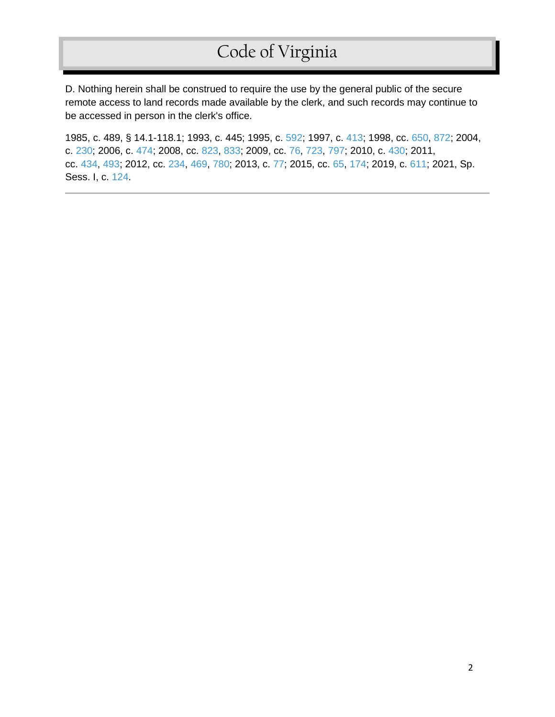D. Nothing herein shall be construed to require the use by the general public of the secure remote access to land records made available by the clerk, and such records may continue to be accessed in person in the clerk's office.

1985, c. 489, § 14.1-118.1; 1993, c. 445; 1995, c. [592;](http://lis.virginia.gov/cgi-bin/legp604.exe?951+ful+CHAP0592) 1997, c. [413;](http://lis.virginia.gov/cgi-bin/legp604.exe?971+ful+CHAP0413) 1998, cc. [650,](http://lis.virginia.gov/cgi-bin/legp604.exe?981+ful+CHAP0650) [872;](http://lis.virginia.gov/cgi-bin/legp604.exe?981+ful+CHAP0872) 2004, c. [230;](http://lis.virginia.gov/cgi-bin/legp604.exe?041+ful+CHAP0230) 2006, c. [474;](http://lis.virginia.gov/cgi-bin/legp604.exe?061+ful+CHAP0474) 2008, cc. [823,](http://lis.virginia.gov/cgi-bin/legp604.exe?081+ful+CHAP0823) [833;](http://lis.virginia.gov/cgi-bin/legp604.exe?081+ful+CHAP0833) 2009, cc. [76,](http://lis.virginia.gov/cgi-bin/legp604.exe?091+ful+CHAP0076) [723,](http://lis.virginia.gov/cgi-bin/legp604.exe?091+ful+CHAP0723) [797;](http://lis.virginia.gov/cgi-bin/legp604.exe?091+ful+CHAP0797) 2010, c. [430;](http://lis.virginia.gov/cgi-bin/legp604.exe?101+ful+CHAP0430) 2011, cc. [434,](http://lis.virginia.gov/cgi-bin/legp604.exe?111+ful+CHAP0434) [493;](http://lis.virginia.gov/cgi-bin/legp604.exe?111+ful+CHAP0493) 2012, cc. [234,](http://lis.virginia.gov/cgi-bin/legp604.exe?121+ful+CHAP0234) [469,](http://lis.virginia.gov/cgi-bin/legp604.exe?121+ful+CHAP0469) [780;](http://lis.virginia.gov/cgi-bin/legp604.exe?121+ful+CHAP0780) 2013, c. [77;](http://lis.virginia.gov/cgi-bin/legp604.exe?131+ful+CHAP0077) 2015, cc. [65,](http://lis.virginia.gov/cgi-bin/legp604.exe?151+ful+CHAP0065) [174;](http://lis.virginia.gov/cgi-bin/legp604.exe?151+ful+CHAP0174) 2019, c. [611;](http://lis.virginia.gov/cgi-bin/legp604.exe?191+ful+CHAP0611) 2021, Sp. Sess. I, c. [124.](http://lis.virginia.gov/cgi-bin/legp604.exe?212+ful+CHAP0124)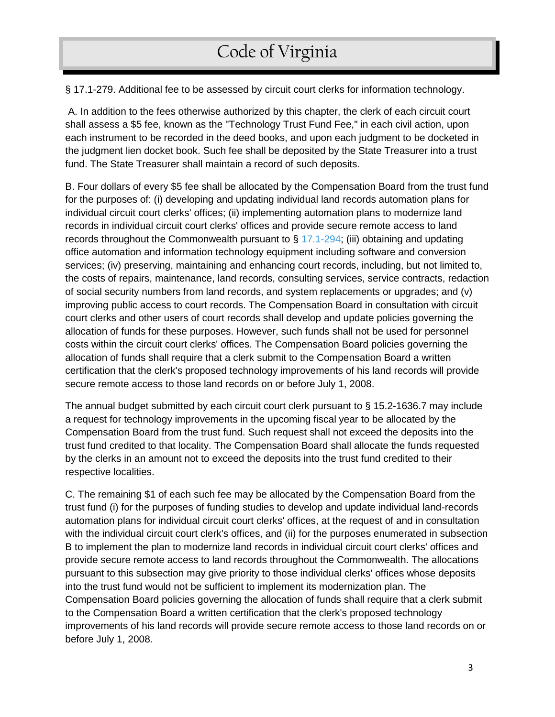§ 17.1-279. Additional fee to be assessed by circuit court clerks for information technology.

A. In addition to the fees otherwise authorized by this chapter, the clerk of each circuit court shall assess a \$5 fee, known as the "Technology Trust Fund Fee," in each civil action, upon each instrument to be recorded in the deed books, and upon each judgment to be docketed in the judgment lien docket book. Such fee shall be deposited by the State Treasurer into a trust fund. The State Treasurer shall maintain a record of such deposits.

B. Four dollars of every \$5 fee shall be allocated by the Compensation Board from the trust fund for the purposes of: (i) developing and updating individual land records automation plans for individual circuit court clerks' offices; (ii) implementing automation plans to modernize land records in individual circuit court clerks' offices and provide secure remote access to land records throughout the Commonwealth pursuant to  $\S$  [17.1-294;](http://lis.virginia.gov/000/lst/LS810000.HTM) (iii) obtaining and updating office automation and information technology equipment including software and conversion services; (iv) preserving, maintaining and enhancing court records, including, but not limited to, the costs of repairs, maintenance, land records, consulting services, service contracts, redaction of social security numbers from land records, and system replacements or upgrades; and (v) improving public access to court records. The Compensation Board in consultation with circuit court clerks and other users of court records shall develop and update policies governing the allocation of funds for these purposes. However, such funds shall not be used for personnel costs within the circuit court clerks' offices. The Compensation Board policies governing the allocation of funds shall require that a clerk submit to the Compensation Board a written certification that the clerk's proposed technology improvements of his land records will provide secure remote access to those land records on or before July 1, 2008.

The annual budget submitted by each circuit court clerk pursuant to § 15.2-1636.7 may include a request for technology improvements in the upcoming fiscal year to be allocated by the Compensation Board from the trust fund. Such request shall not exceed the deposits into the trust fund credited to that locality. The Compensation Board shall allocate the funds requested by the clerks in an amount not to exceed the deposits into the trust fund credited to their respective localities.

C. The remaining \$1 of each such fee may be allocated by the Compensation Board from the trust fund (i) for the purposes of funding studies to develop and update individual land-records automation plans for individual circuit court clerks' offices, at the request of and in consultation with the individual circuit court clerk's offices, and (ii) for the purposes enumerated in subsection B to implement the plan to modernize land records in individual circuit court clerks' offices and provide secure remote access to land records throughout the Commonwealth. The allocations pursuant to this subsection may give priority to those individual clerks' offices whose deposits into the trust fund would not be sufficient to implement its modernization plan. The Compensation Board policies governing the allocation of funds shall require that a clerk submit to the Compensation Board a written certification that the clerk's proposed technology improvements of his land records will provide secure remote access to those land records on or before July 1, 2008.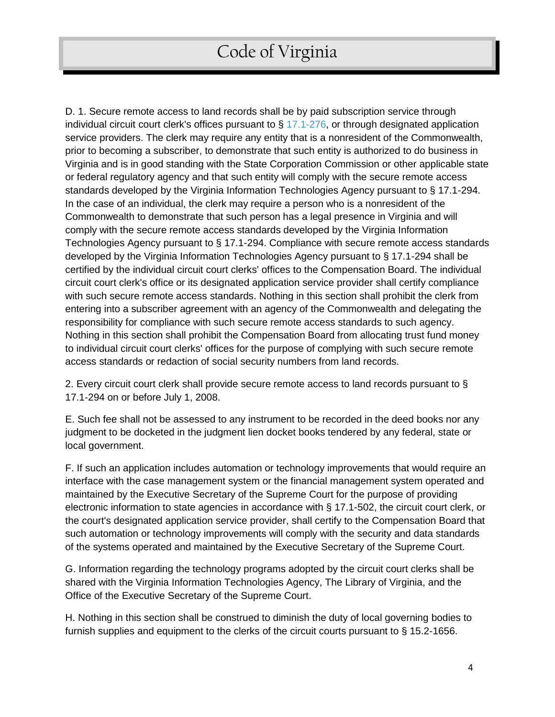D. 1. Secure remote access to land records shall be by paid subscription service through individual circuit court clerk's offices pursuant to § [17.1-276,](http://lis.virginia.gov/000/lst/LS810000.HTM) or through designated application service providers. The clerk may require any entity that is a nonresident of the Commonwealth, prior to becoming a subscriber, to demonstrate that such entity is authorized to do business in Virginia and is in good standing with the State Corporation Commission or other applicable state or federal regulatory agency and that such entity will comply with the secure remote access standards developed by the Virginia Information Technologies Agency pursuant to § 17.1-294. In the case of an individual, the clerk may require a person who is a nonresident of the Commonwealth to demonstrate that such person has a legal presence in Virginia and will comply with the secure remote access standards developed by the Virginia Information Technologies Agency pursuant to § 17.1-294. Compliance with secure remote access standards developed by the Virginia Information Technologies Agency pursuant to § 17.1-294 shall be certified by the individual circuit court clerks' offices to the Compensation Board. The individual circuit court clerk's office or its designated application service provider shall certify compliance with such secure remote access standards. Nothing in this section shall prohibit the clerk from entering into a subscriber agreement with an agency of the Commonwealth and delegating the responsibility for compliance with such secure remote access standards to such agency. Nothing in this section shall prohibit the Compensation Board from allocating trust fund money to individual circuit court clerks' offices for the purpose of complying with such secure remote access standards or redaction of social security numbers from land records.

2. Every circuit court clerk shall provide secure remote access to land records pursuant to § 17.1-294 on or before July 1, 2008.

E. Such fee shall not be assessed to any instrument to be recorded in the deed books nor any judgment to be docketed in the judgment lien docket books tendered by any federal, state or local government.

F. If such an application includes automation or technology improvements that would require an interface with the case management system or the financial management system operated and maintained by the Executive Secretary of the Supreme Court for the purpose of providing electronic information to state agencies in accordance with § 17.1-502, the circuit court clerk, or the court's designated application service provider, shall certify to the Compensation Board that such automation or technology improvements will comply with the security and data standards of the systems operated and maintained by the Executive Secretary of the Supreme Court.

G. Information regarding the technology programs adopted by the circuit court clerks shall be shared with the Virginia Information Technologies Agency, The Library of Virginia, and the Office of the Executive Secretary of the Supreme Court.

H. Nothing in this section shall be construed to diminish the duty of local governing bodies to furnish supplies and equipment to the clerks of the circuit courts pursuant to § 15.2-1656.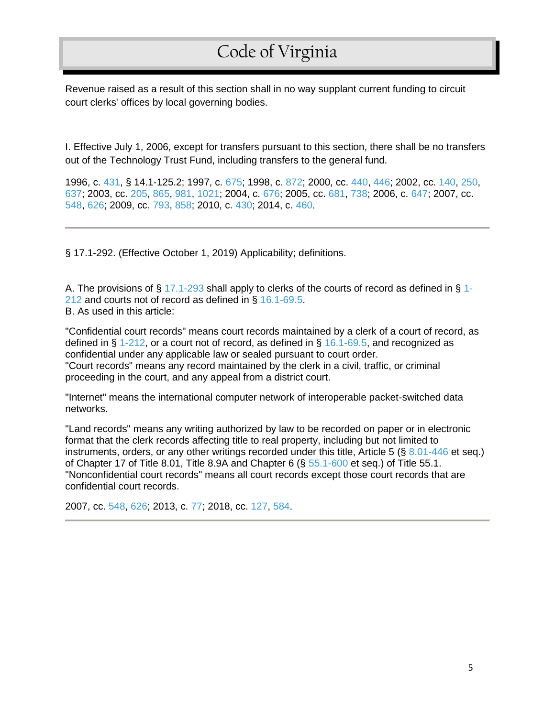Revenue raised as a result of this section shall in no way supplant current funding to circuit court clerks' offices by local governing bodies.

I. Effective July 1, 2006, except for transfers pursuant to this section, there shall be no transfers out of the Technology Trust Fund, including transfers to the general fund.

1996, c. [431,](http://lis.virginia.gov/cgi-bin/legp604.exe?961+ful+CHAP0431) § 14.1-125.2; 1997, c. [675;](http://lis.virginia.gov/cgi-bin/legp604.exe?971+ful+CHAP0675) 1998, c. [872;](http://lis.virginia.gov/cgi-bin/legp604.exe?981+ful+CHAP0872) 2000, cc. [440,](http://lis.virginia.gov/cgi-bin/legp604.exe?001+ful+CHAP0440) [446;](http://lis.virginia.gov/cgi-bin/legp604.exe?001+ful+CHAP0446) 2002, cc. [140,](http://lis.virginia.gov/cgi-bin/legp604.exe?021+ful+CHAP0140) [250,](http://lis.virginia.gov/cgi-bin/legp604.exe?021+ful+CHAP0250) [637;](http://lis.virginia.gov/cgi-bin/legp604.exe?021+ful+CHAP0637) 2003, cc. [205,](http://lis.virginia.gov/cgi-bin/legp604.exe?031+ful+CHAP0205) [865,](http://lis.virginia.gov/cgi-bin/legp604.exe?031+ful+CHAP0865) [981,](http://lis.virginia.gov/cgi-bin/legp604.exe?031+ful+CHAP0981) [1021;](http://lis.virginia.gov/cgi-bin/legp604.exe?031+ful+CHAP1021) 2004, c. [676;](http://lis.virginia.gov/cgi-bin/legp604.exe?041+ful+CHAP0676) 2005, cc. [681,](http://lis.virginia.gov/cgi-bin/legp604.exe?051+ful+CHAP0681) [738;](http://lis.virginia.gov/cgi-bin/legp604.exe?051+ful+CHAP0738) 2006, c. [647;](http://lis.virginia.gov/cgi-bin/legp604.exe?061+ful+CHAP0647) 2007, cc. [548,](http://lis.virginia.gov/cgi-bin/legp604.exe?071+ful+CHAP0548) [626;](http://lis.virginia.gov/cgi-bin/legp604.exe?071+ful+CHAP0626) 2009, cc. [793,](http://lis.virginia.gov/cgi-bin/legp604.exe?091+ful+CHAP0793) [858;](http://lis.virginia.gov/cgi-bin/legp604.exe?091+ful+CHAP0858) 2010, c. [430;](http://lis.virginia.gov/cgi-bin/legp604.exe?101+ful+CHAP0430) 2014, c. [460](http://lis.virginia.gov/cgi-bin/legp604.exe?141+ful+CHAP0460).

§ 17.1-292. (Effective October 1, 2019) Applicability; definitions.

A. The provisions of § [17.1-293](https://law.lis.virginia.gov/vacode/17.1-293/) shall apply to clerks of the courts of record as defined in § [1-](https://law.lis.virginia.gov/vacode/1-212/) [212](https://law.lis.virginia.gov/vacode/1-212/) and courts not of record as defined in § [16.1-69.5.](https://law.lis.virginia.gov/vacode/16.1-69.5/) B. As used in this article:

"Confidential court records" means court records maintained by a clerk of a court of record, as defined in § [1-212,](https://law.lis.virginia.gov/vacode/1-212/) or a court not of record, as defined in § [16.1-69.5,](https://law.lis.virginia.gov/vacode/16.1-69.5/) and recognized as confidential under any applicable law or sealed pursuant to court order. "Court records" means any record maintained by the clerk in a civil, traffic, or criminal proceeding in the court, and any appeal from a district court.

"Internet" means the international computer network of interoperable packet-switched data networks.

"Land records" means any writing authorized by law to be recorded on paper or in electronic format that the clerk records affecting title to real property, including but not limited to instruments, orders, or any other writings recorded under this title, Article 5 ( $\S$  [8.01-446](https://law.lis.virginia.gov/vacode/8.01-446/) et seq.) of Chapter 17 of Title 8.01, Title 8.9A and Chapter 6 (§ [55.1-600](https://law.lis.virginia.gov/vacode/55.1-600/) et seq.) of Title 55.1. "Nonconfidential court records" means all court records except those court records that are confidential court records.

2007, cc. [548,](http://lis.virginia.gov/cgi-bin/legp604.exe?071+ful+CHAP0548) [626;](http://lis.virginia.gov/cgi-bin/legp604.exe?071+ful+CHAP0626) 2013, c. [77;](http://lis.virginia.gov/cgi-bin/legp604.exe?131+ful+CHAP0077) 2018, cc. [127,](http://lis.virginia.gov/cgi-bin/legp604.exe?181+ful+CHAP0127) [584.](http://lis.virginia.gov/cgi-bin/legp604.exe?181+ful+CHAP0584)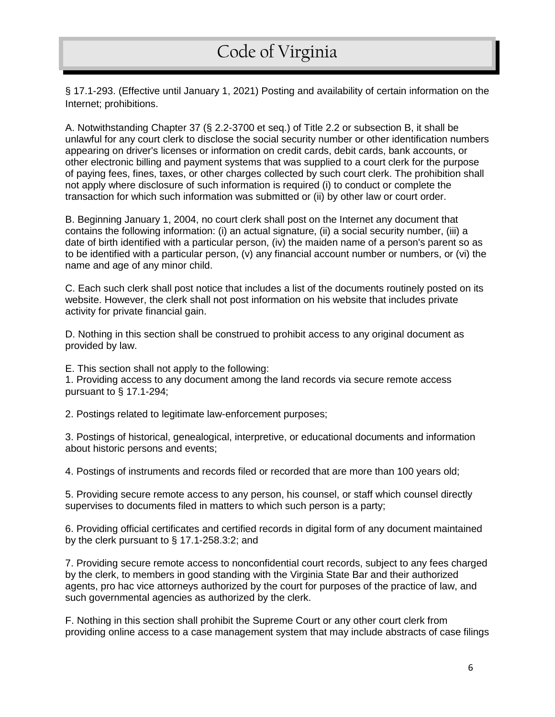§ 17.1-293. (Effective until January 1, 2021) Posting and availability of certain information on the Internet; prohibitions.

A. Notwithstanding Chapter 37 (§ [2.2-3700](https://law.lis.virginia.gov/vacode/2.2-3700/) et seq.) of Title 2.2 or subsection B, it shall be unlawful for any court clerk to disclose the social security number or other identification numbers appearing on driver's licenses or information on credit cards, debit cards, bank accounts, or other electronic billing and payment systems that was supplied to a court clerk for the purpose of paying fees, fines, taxes, or other charges collected by such court clerk. The prohibition shall not apply where disclosure of such information is required (i) to conduct or complete the transaction for which such information was submitted or (ii) by other law or court order.

B. Beginning January 1, 2004, no court clerk shall post on the Internet any document that contains the following information: (i) an actual signature, (ii) a social security number, (iii) a date of birth identified with a particular person, (iv) the maiden name of a person's parent so as to be identified with a particular person, (v) any financial account number or numbers, or (vi) the name and age of any minor child.

C. Each such clerk shall post notice that includes a list of the documents routinely posted on its website. However, the clerk shall not post information on his website that includes private activity for private financial gain.

D. Nothing in this section shall be construed to prohibit access to any original document as provided by law.

E. This section shall not apply to the following:

1. Providing access to any document among the land records via secure remote access pursuant to § [17.1-294;](https://law.lis.virginia.gov/vacode/17.1-294/)

2. Postings related to legitimate law-enforcement purposes;

3. Postings of historical, genealogical, interpretive, or educational documents and information about historic persons and events;

4. Postings of instruments and records filed or recorded that are more than 100 years old;

5. Providing secure remote access to any person, his counsel, or staff which counsel directly supervises to documents filed in matters to which such person is a party;

6. Providing official certificates and certified records in digital form of any document maintained by the clerk pursuant to § [17.1-258.3:2;](https://law.lis.virginia.gov/vacode/17.1-258.3:2/) and

7. Providing secure remote access to nonconfidential court records, subject to any fees charged by the clerk, to members in good standing with the Virginia State Bar and their authorized agents, pro hac vice attorneys authorized by the court for purposes of the practice of law, and such governmental agencies as authorized by the clerk.

F. Nothing in this section shall prohibit the Supreme Court or any other court clerk from providing online access to a case management system that may include abstracts of case filings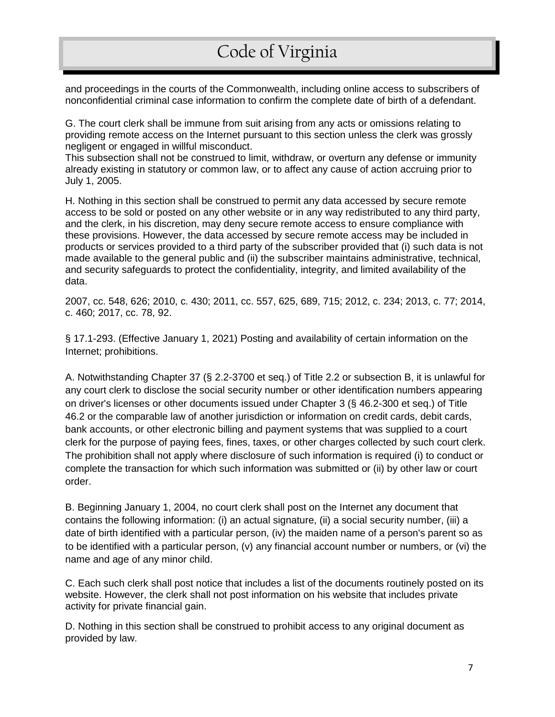and proceedings in the courts of the Commonwealth, including online access to subscribers of nonconfidential criminal case information to confirm the complete date of birth of a defendant.

G. The court clerk shall be immune from suit arising from any acts or omissions relating to providing remote access on the Internet pursuant to this section unless the clerk was grossly negligent or engaged in willful misconduct.

This subsection shall not be construed to limit, withdraw, or overturn any defense or immunity already existing in statutory or common law, or to affect any cause of action accruing prior to July 1, 2005.

H. Nothing in this section shall be construed to permit any data accessed by secure remote access to be sold or posted on any other website or in any way redistributed to any third party, and the clerk, in his discretion, may deny secure remote access to ensure compliance with these provisions. However, the data accessed by secure remote access may be included in products or services provided to a third party of the subscriber provided that (i) such data is not made available to the general public and (ii) the subscriber maintains administrative, technical, and security safeguards to protect the confidentiality, integrity, and limited availability of the data.

2007, cc. [548,](http://lis.virginia.gov/cgi-bin/legp604.exe?071+ful+CHAP0548) [626;](http://lis.virginia.gov/cgi-bin/legp604.exe?071+ful+CHAP0626) 2010, c. [430;](http://lis.virginia.gov/cgi-bin/legp604.exe?101+ful+CHAP0430) 2011, cc. [557,](http://lis.virginia.gov/cgi-bin/legp604.exe?111+ful+CHAP0557) [625,](http://lis.virginia.gov/cgi-bin/legp604.exe?111+ful+CHAP0625) [689,](http://lis.virginia.gov/cgi-bin/legp604.exe?111+ful+CHAP0689) [715;](http://lis.virginia.gov/cgi-bin/legp604.exe?111+ful+CHAP0715) 2012, c. [234;](http://lis.virginia.gov/cgi-bin/legp604.exe?121+ful+CHAP0234) 2013, c. [77;](http://lis.virginia.gov/cgi-bin/legp604.exe?131+ful+CHAP0077) 2014, c. [460;](http://lis.virginia.gov/cgi-bin/legp604.exe?141+ful+CHAP0460) 2017, cc. [78,](http://lis.virginia.gov/cgi-bin/legp604.exe?171+ful+CHAP0078) [92.](http://lis.virginia.gov/cgi-bin/legp604.exe?171+ful+CHAP0092)

§ 17.1-293. (Effective January 1, 2021) Posting and availability of certain information on the Internet; prohibitions.

A. Notwithstanding Chapter 37 (§ [2.2-3700](https://law.lis.virginia.gov/vacode/2.2-3700/) et seq.) of Title 2.2 or subsection B, it is unlawful for any court clerk to disclose the social security number or other identification numbers appearing on driver's licenses or other documents issued under Chapter 3 (§ [46.2-300](https://law.lis.virginia.gov/vacode/46.2-300/) et seq.) of Title 46.2 or the comparable law of another jurisdiction or information on credit cards, debit cards, bank accounts, or other electronic billing and payment systems that was supplied to a court clerk for the purpose of paying fees, fines, taxes, or other charges collected by such court clerk. The prohibition shall not apply where disclosure of such information is required (i) to conduct or complete the transaction for which such information was submitted or (ii) by other law or court order.

B. Beginning January 1, 2004, no court clerk shall post on the Internet any document that contains the following information: (i) an actual signature, (ii) a social security number, (iii) a date of birth identified with a particular person, (iv) the maiden name of a person's parent so as to be identified with a particular person, (v) any financial account number or numbers, or (vi) the name and age of any minor child.

C. Each such clerk shall post notice that includes a list of the documents routinely posted on its website. However, the clerk shall not post information on his website that includes private activity for private financial gain.

D. Nothing in this section shall be construed to prohibit access to any original document as provided by law.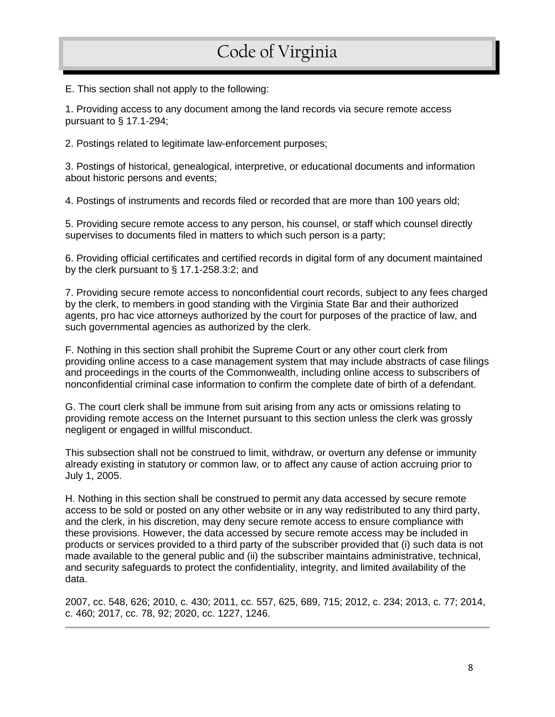E. This section shall not apply to the following:

1. Providing access to any document among the land records via secure remote access pursuant to § [17.1-294;](https://law.lis.virginia.gov/vacode/17.1-294/)

2. Postings related to legitimate law-enforcement purposes;

3. Postings of historical, genealogical, interpretive, or educational documents and information about historic persons and events;

4. Postings of instruments and records filed or recorded that are more than 100 years old;

5. Providing secure remote access to any person, his counsel, or staff which counsel directly supervises to documents filed in matters to which such person is a party;

6. Providing official certificates and certified records in digital form of any document maintained by the clerk pursuant to § [17.1-258.3:2;](https://law.lis.virginia.gov/vacode/17.1-258.3:2/) and

7. Providing secure remote access to nonconfidential court records, subject to any fees charged by the clerk, to members in good standing with the Virginia State Bar and their authorized agents, pro hac vice attorneys authorized by the court for purposes of the practice of law, and such governmental agencies as authorized by the clerk.

F. Nothing in this section shall prohibit the Supreme Court or any other court clerk from providing online access to a case management system that may include abstracts of case filings and proceedings in the courts of the Commonwealth, including online access to subscribers of nonconfidential criminal case information to confirm the complete date of birth of a defendant.

G. The court clerk shall be immune from suit arising from any acts or omissions relating to providing remote access on the Internet pursuant to this section unless the clerk was grossly negligent or engaged in willful misconduct.

This subsection shall not be construed to limit, withdraw, or overturn any defense or immunity already existing in statutory or common law, or to affect any cause of action accruing prior to July 1, 2005.

H. Nothing in this section shall be construed to permit any data accessed by secure remote access to be sold or posted on any other website or in any way redistributed to any third party, and the clerk, in his discretion, may deny secure remote access to ensure compliance with these provisions. However, the data accessed by secure remote access may be included in products or services provided to a third party of the subscriber provided that (i) such data is not made available to the general public and (ii) the subscriber maintains administrative, technical, and security safeguards to protect the confidentiality, integrity, and limited availability of the data.

2007, cc. [548,](http://lis.virginia.gov/cgi-bin/legp604.exe?071+ful+CHAP0548) [626;](http://lis.virginia.gov/cgi-bin/legp604.exe?071+ful+CHAP0626) 2010, c. [430;](http://lis.virginia.gov/cgi-bin/legp604.exe?101+ful+CHAP0430) 2011, cc. [557,](http://lis.virginia.gov/cgi-bin/legp604.exe?111+ful+CHAP0557) [625,](http://lis.virginia.gov/cgi-bin/legp604.exe?111+ful+CHAP0625) [689,](http://lis.virginia.gov/cgi-bin/legp604.exe?111+ful+CHAP0689) [715;](http://lis.virginia.gov/cgi-bin/legp604.exe?111+ful+CHAP0715) 2012, c. [234;](http://lis.virginia.gov/cgi-bin/legp604.exe?121+ful+CHAP0234) 2013, c. [77;](http://lis.virginia.gov/cgi-bin/legp604.exe?131+ful+CHAP0077) 2014, c. [460;](http://lis.virginia.gov/cgi-bin/legp604.exe?141+ful+CHAP0460) 2017, cc. [78,](http://lis.virginia.gov/cgi-bin/legp604.exe?171+ful+CHAP0078) [92;](http://lis.virginia.gov/cgi-bin/legp604.exe?171+ful+CHAP0092) 2020, cc. [1227,](http://lis.virginia.gov/cgi-bin/legp604.exe?201+ful+CHAP1227) [1246.](http://lis.virginia.gov/cgi-bin/legp604.exe?201+ful+CHAP1246)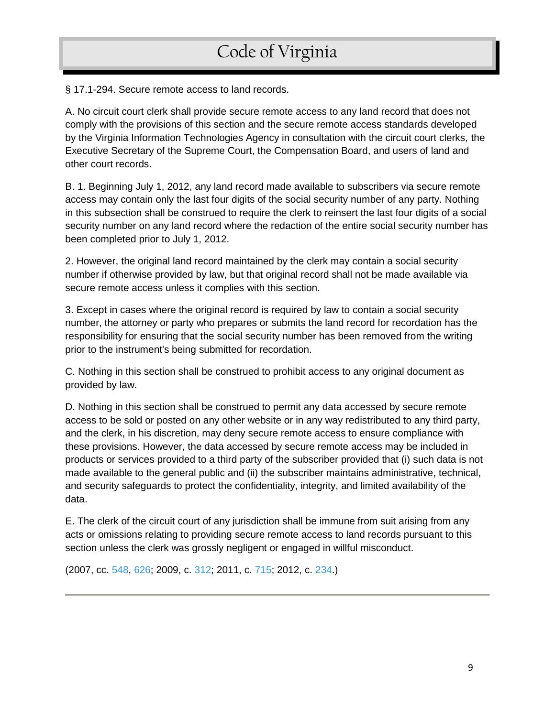§ 17.1-294. Secure remote access to land records.

A. No circuit court clerk shall provide secure remote access to any land record that does not comply with the provisions of this section and the secure remote access standards developed by the Virginia Information Technologies Agency in consultation with the circuit court clerks, the Executive Secretary of the Supreme Court, the Compensation Board, and users of land and other court records.

B. 1. Beginning July 1, 2012, any land record made available to subscribers via secure remote access may contain only the last four digits of the social security number of any party. Nothing in this subsection shall be construed to require the clerk to reinsert the last four digits of a social security number on any land record where the redaction of the entire social security number has been completed prior to July 1, 2012.

2. However, the original land record maintained by the clerk may contain a social security number if otherwise provided by law, but that original record shall not be made available via secure remote access unless it complies with this section.

3. Except in cases where the original record is required by law to contain a social security number, the attorney or party who prepares or submits the land record for recordation has the responsibility for ensuring that the social security number has been removed from the writing prior to the instrument's being submitted for recordation.

C. Nothing in this section shall be construed to prohibit access to any original document as provided by law.

D. Nothing in this section shall be construed to permit any data accessed by secure remote access to be sold or posted on any other website or in any way redistributed to any third party, and the clerk, in his discretion, may deny secure remote access to ensure compliance with these provisions. However, the data accessed by secure remote access may be included in products or services provided to a third party of the subscriber provided that (i) such data is not made available to the general public and (ii) the subscriber maintains administrative, technical, and security safeguards to protect the confidentiality, integrity, and limited availability of the data.

E. The clerk of the circuit court of any jurisdiction shall be immune from suit arising from any acts or omissions relating to providing secure remote access to land records pursuant to this section unless the clerk was grossly negligent or engaged in willful misconduct.

(2007, cc. [548,](http://leg1.state.va.us/cgi-bin/legp504.exe?071+ful+CHAP0548) [626;](http://leg1.state.va.us/cgi-bin/legp504.exe?071+ful+CHAP0626) 2009, c. [312;](http://leg1.state.va.us/cgi-bin/legp504.exe?091+ful+CHAP0312) 2011, c. [715;](http://leg1.state.va.us/cgi-bin/legp504.exe?111+ful+CHAP0715) 2012, c. [234.](http://leg1.state.va.us/cgi-bin/legp504.exe?121+ful+CHAP0234))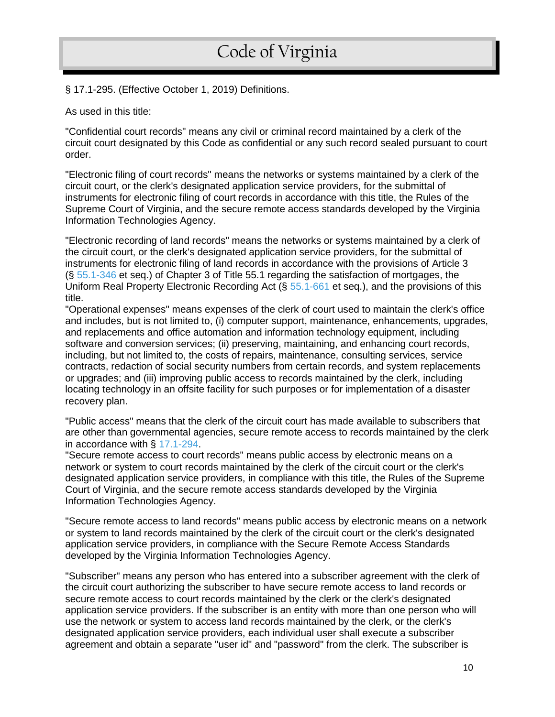#### § 17.1-295. (Effective October 1, 2019) Definitions.

As used in this title:

"Confidential court records" means any civil or criminal record maintained by a clerk of the circuit court designated by this Code as confidential or any such record sealed pursuant to court order.

"Electronic filing of court records" means the networks or systems maintained by a clerk of the circuit court, or the clerk's designated application service providers, for the submittal of instruments for electronic filing of court records in accordance with this title, the Rules of the Supreme Court of Virginia, and the secure remote access standards developed by the Virginia Information Technologies Agency.

"Electronic recording of land records" means the networks or systems maintained by a clerk of the circuit court, or the clerk's designated application service providers, for the submittal of instruments for electronic filing of land records in accordance with the provisions of Article 3 (§ [55.1-346](https://law.lis.virginia.gov/vacode/55.1-346/) et seq.) of Chapter 3 of Title 55.1 regarding the satisfaction of mortgages, the Uniform Real Property Electronic Recording Act (§ [55.1-661](https://law.lis.virginia.gov/vacode/55.1-661/) et seq.), and the provisions of this title.

"Operational expenses" means expenses of the clerk of court used to maintain the clerk's office and includes, but is not limited to, (i) computer support, maintenance, enhancements, upgrades, and replacements and office automation and information technology equipment, including software and conversion services; (ii) preserving, maintaining, and enhancing court records, including, but not limited to, the costs of repairs, maintenance, consulting services, service contracts, redaction of social security numbers from certain records, and system replacements or upgrades; and (iii) improving public access to records maintained by the clerk, including locating technology in an offsite facility for such purposes or for implementation of a disaster recovery plan.

"Public access" means that the clerk of the circuit court has made available to subscribers that are other than governmental agencies, secure remote access to records maintained by the clerk in accordance with § [17.1-294.](https://law.lis.virginia.gov/vacode/17.1-294/)

"Secure remote access to court records" means public access by electronic means on a network or system to court records maintained by the clerk of the circuit court or the clerk's designated application service providers, in compliance with this title, the Rules of the Supreme Court of Virginia, and the secure remote access standards developed by the Virginia Information Technologies Agency.

"Secure remote access to land records" means public access by electronic means on a network or system to land records maintained by the clerk of the circuit court or the clerk's designated application service providers, in compliance with the Secure Remote Access Standards developed by the Virginia Information Technologies Agency.

"Subscriber" means any person who has entered into a subscriber agreement with the clerk of the circuit court authorizing the subscriber to have secure remote access to land records or secure remote access to court records maintained by the clerk or the clerk's designated application service providers. If the subscriber is an entity with more than one person who will use the network or system to access land records maintained by the clerk, or the clerk's designated application service providers, each individual user shall execute a subscriber agreement and obtain a separate "user id" and "password" from the clerk. The subscriber is